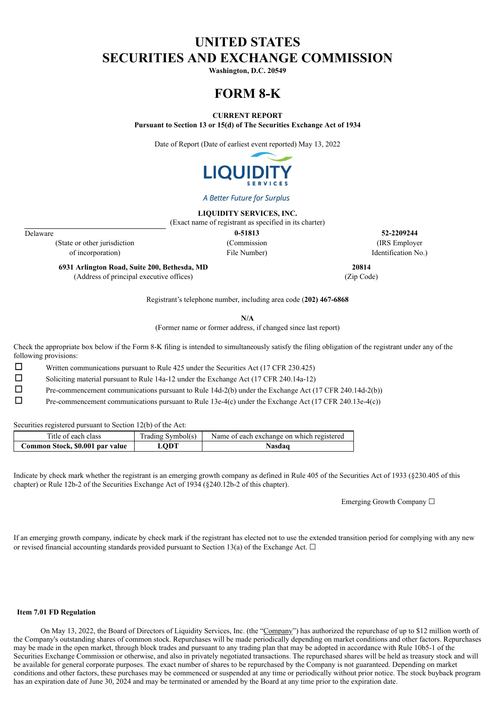## **UNITED STATES SECURITIES AND EXCHANGE COMMISSION**

**Washington, D.C. 20549**

# **FORM 8-K**

**CURRENT REPORT**

**Pursuant to Section 13 or 15(d) of The Securities Exchange Act of 1934**

Date of Report (Date of earliest event reported) May 13, 2022



A Better Future for Surplus

**LIQUIDITY SERVICES, INC.**

(Exact name of registrant as specified in its charter)

(State or other jurisdiction (Commission (IRS Employer of incorporation) File Number) Identification No.)

Delaware **0-51813 52-2209244**

**6931 Arlington Road, Suite 200, Bethesda, MD 20814** (Address of principal executive offices) (Zip Code)

Registrant's telephone number, including area code (**202) 467-6868**

**N/A**

(Former name or former address, if changed since last report)

Check the appropriate box below if the Form 8-K filing is intended to simultaneously satisfy the filing obligation of the registrant under any of the following provisions:

☐ Written communications pursuant to Rule 425 under the Securities Act (17 CFR 230.425)

☐ Soliciting material pursuant to Rule 14a-12 under the Exchange Act (17 CFR 240.14a-12)

☐ Pre-commencement communications pursuant to Rule 14d-2(b) under the Exchange Act (17 CFR 240.14d-2(b))

☐ Pre-commencement communications pursuant to Rule 13e-4(c) under the Exchange Act (17 CFR 240.13e-4(c))

Securities registered pursuant to Section 12(b) of the Act:

| Title of each class             | Trading Symbol(s) | Name of each exchange on which registered |
|---------------------------------|-------------------|-------------------------------------------|
| Common Stock, \$0.001 par value | <b>LODT</b>       | <b>Nasdaq</b>                             |

Indicate by check mark whether the registrant is an emerging growth company as defined in Rule 405 of the Securities Act of 1933 (§230.405 of this chapter) or Rule 12b-2 of the Securities Exchange Act of 1934 (§240.12b-2 of this chapter).

Emerging Growth Company ☐

If an emerging growth company, indicate by check mark if the registrant has elected not to use the extended transition period for complying with any new or revised financial accounting standards provided pursuant to Section 13(a) of the Exchange Act.  $\Box$ 

#### **Item 7.01 FD Regulation**

On May 13, 2022, the Board of Directors of Liquidity Services, Inc. (the "Company") has authorized the repurchase of up to \$12 million worth of the Company's outstanding shares of common stock. Repurchases will be made periodically depending on market conditions and other factors. Repurchases may be made in the open market, through block trades and pursuant to any trading plan that may be adopted in accordance with Rule 10b5-1 of the Securities Exchange Commission or otherwise, and also in privately negotiated transactions. The repurchased shares will be held as treasury stock and will be available for general corporate purposes. The exact number of shares to be repurchased by the Company is not guaranteed. Depending on market conditions and other factors, these purchases may be commenced or suspended at any time or periodically without prior notice. The stock buyback program has an expiration date of June 30, 2024 and may be terminated or amended by the Board at any time prior to the expiration date.